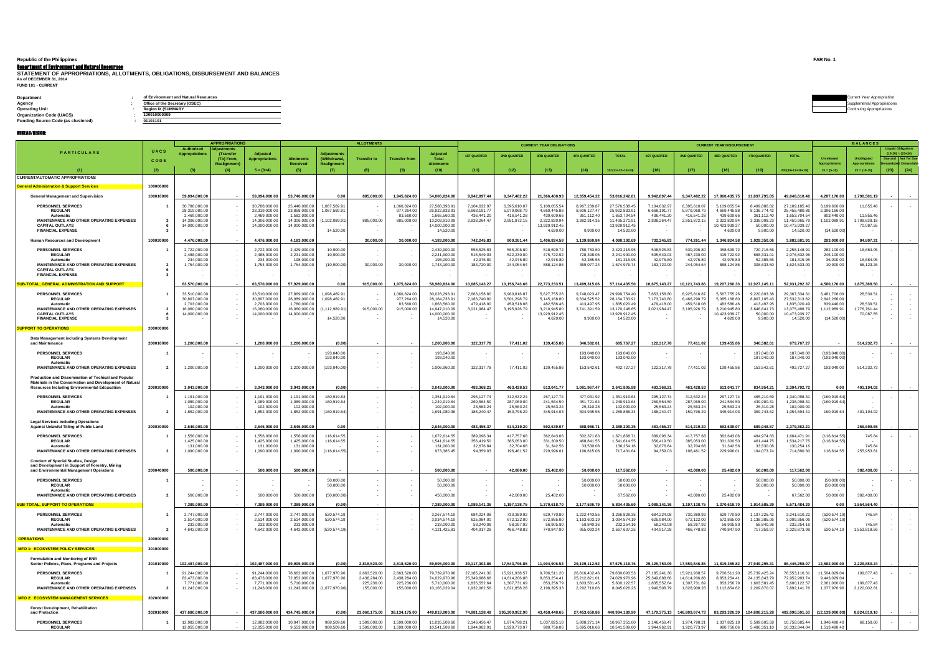**STATEMENT OF APPROPRIATIONS, ALLOTMENTS, OBLIGATIONS, DISBURSEMENT AND BALANCES As of DECEMBER 31, 2014 FUND 101 - CURRENT**

| Department                                | of Environment and Natural Resources | Current Year Appropriation |
|-------------------------------------------|--------------------------------------|----------------------------|
| Agency                                    | Office of the Secretary (OSEC)       |                            |
| <b>Operating Unit</b>                     | <b>Region IX (SUMMARY</b>            | Continuing Appropriations  |
| <b>Organization Code (UACS)</b>           | 100010000009                         |                            |
| <b>Funding Source Code (as clustered)</b> | 01101101                             |                            |

|                                                                                                                 |                         |                                   | <b>APPROPRIATIONS</b>                                      |                                |                                |                                                  | <b>ALLOTMENTS</b>            |                              |                                                      |                                             |                                | <b>CURRENT YEAR OBLIGATIONS</b>           |                               |                                            |                                |                                | <b>CURRENT YEAR DISBURSEMENT</b>          |                                       |                                                                |                                    | <b>BALANCES</b>                             |                                                                                      |
|-----------------------------------------------------------------------------------------------------------------|-------------------------|-----------------------------------|------------------------------------------------------------|--------------------------------|--------------------------------|--------------------------------------------------|------------------------------|------------------------------|------------------------------------------------------|---------------------------------------------|--------------------------------|-------------------------------------------|-------------------------------|--------------------------------------------|--------------------------------|--------------------------------|-------------------------------------------|---------------------------------------|----------------------------------------------------------------|------------------------------------|---------------------------------------------|--------------------------------------------------------------------------------------|
| <b>PARTICULARS</b>                                                                                              | UACS<br>CODE            | <b>Authorized</b><br>Appropriatic | <b>\diustment:</b><br>(Transfe<br>(To) From<br>Realignment | Adjusted<br>propriation:       | Allotments<br><b>Received</b>  | <b>Adjustment</b><br>(Withdrawal,<br>Realignment | <b>Transfer to</b>           | <b>Transfer from</b>         | <b>\djusted</b><br><b>Total</b><br><b>Allotments</b> | <b>1ST QUARTER</b>                          | <b>2ND OUARTER</b>             | <b>3RD QUARTER</b>                        | <b>4TH QUARTER</b>            | <b>TOTAL</b>                               | <b>1ST QUARTER</b>             | <b>2ND QUARTER</b>             | <b>3RD QUARTER</b>                        | <b>4TH QUARTER</b>                    | <b>TOTAL</b>                                                   | Unreleased<br><b>Appropriation</b> | <b>Unobligated</b><br><b>Appropriations</b> | Unpaid Obligation:<br>$(15-20) = (23+24)$<br>Due and Not Yet Du<br>nandablek Demanda |
|                                                                                                                 | (2)                     | (3)                               |                                                            | $5 = (3+4)$                    | (6)                            | (7)                                              | (8)                          | (9)                          | (10)                                                 | (11)                                        | (12)                           | (13)                                      | (14)                          | $15=(11+12+13+14)$                         | (16)                           | (17)                           | (18)                                      | (19)                                  | $20=(16+17+18+19)$                                             | $21 = (5-10)$                      | $22 = (10-15)$                              | (24)<br>(23)                                                                         |
| <b>CURRENT/AUTOMATIC APPROPRIATIONS</b>                                                                         |                         |                                   |                                                            |                                |                                |                                                  |                              |                              |                                                      |                                             |                                |                                           |                               |                                            |                                |                                |                                           |                                       |                                                                |                                    |                                             |                                                                                      |
| <b>General Administration &amp; Support Services</b>                                                            | 100000000               |                                   |                                                            |                                |                                |                                                  |                              |                              |                                                      |                                             |                                |                                           |                               |                                            |                                |                                |                                           |                                       |                                                                |                                    |                                             |                                                                                      |
| <b>General Management and Supervision</b>                                                                       | 100010000               | 59,094,000.00                     |                                                            | 59,094,000.00                  | 53,746,000.00                  | 0.00                                             | 885,000.00                   | 1,945,824.00                 | 54,806,824.00                                        | 9,942,897.44                                | 9,347,482.22                   | 21,366,408.93                             | 12,359,454.22                 | 53,016,242.81                              | 9,942,897.44                   | 9,347,482.22                   | 17,860,435.75                             | 11,897,795.05                         | 49,048,610.46                                                  | 4,287,176.00                       | 1,790,581.19                                |                                                                                      |
| <b>PERSONNEL SERVICES</b><br><b>REGULAR</b>                                                                     |                         | 30,788,000.00<br>28.319.000.00    |                                                            | 30,788,000.0<br>28,319,000.0   | 25,440,000.0<br>23,858,000.00  | 1,087,569.91<br>1,087,569.91                     |                              | 1,060,824.00<br>977,264.00   | 27,588,393.9<br>25,922,833.9                         | 7,104,632.97<br>6,668,191.77                | 6,395,610.07<br>5,979,068.79   | 5,109,055.54<br>4,669,445.88              | 8,967,239.87<br>8,606,127.47  | 27,576,538.45<br>25,922,833.91             | 7,104,632.97<br>6,668,191.77   | 6,395,610.0<br>5,979,068.7     | 5,109,055.54<br>4,669,445.88              | 8,499,886.82<br>8.138.774.42          | 27,109,185.40<br>25,455,480.86                                 | 3,199,606.09<br>2,396,166.09       | 11,855.46                                   |                                                                                      |
| Automatic                                                                                                       |                         | 2.469.000.00                      |                                                            | 2,469,000.0                    | 1,582,000.0                    |                                                  |                              | 83,560.00                    | 1.665.560.00                                         | 436,441.20                                  | 416,541.28                     | 439,609.66                                | 361,112.40                    | 1,653,704.54                               | 436,441.20                     | 416,541.28                     | 439,609.66                                | 361,112.40                            | 1,653,704.54                                                   | 803,440.00                         | 11,855.46                                   |                                                                                      |
| MAINTENANCE AND OTHER OPERATING EXPENSES<br><b>CAPITAL OUTLAYS</b><br><b>FINANCIAL EXPENSE</b>                  |                         | 14,306,000.00<br>14,000,000.00    |                                                            | 14,306,000.0<br>14,000,000.0   | 14,306,000.00<br>14,000,000.00 | 1,102,089.91<br>14,520.00                        | 885,000.00                   | 885,000.00                   | 13,203,910.0<br>14,000,000.0<br>14,520.00            | 2,838,264.47                                | 2,951,872.15                   | 2,322,820.94<br>13,929,912.45<br>4,620.00 | 3,382,314.35<br>9,900.0       | 11,495,271.9<br>13,929,912.45<br>14,520.00 | 2,838,264.47                   | 2,951,872.1                    | 2,322,820.94<br>10,423,939.27<br>4,620.00 | 3,338,008.23<br>50,000.00<br>9,900.00 | 11,450,965.79<br>10,473,939.27<br>14,520.00                    | 1,102,089.9<br>(14,520.0)          | 1,708,638.18<br>70,087.55                   |                                                                                      |
| <b>Human Resources and Development</b>                                                                          | 100020000               | 4,476,000.00                      |                                                            | 4,476,000.0                    | 4.183.000.00                   |                                                  | 30,000.00                    | 30,000.00                    | 4,183,000.00                                         | 742,245.83                                  | 809,261.44                     | 1,406,824.58                              | 1,139,860.84                  | 4,098,192.69                               | 732,245.83                     | 774,261.44                     | 1,346,824.58                              | 1,029,350.06                          | 3.882.681.91                                                   | 293,000.00                         | 84.807.31                                   |                                                                                      |
| PERSONNEL SERVICES<br><b>REGULAR</b>                                                                            |                         | 2,722,000.00<br>2,488,000.00      |                                                            | 2,722,000.0<br>2,488,000.00    | 2,429,000.00<br>2,231,000.00   | 10,900.00<br>10,900.00                           |                              |                              | 2,439,900.0<br>2,241,900.00                          | 558,525.83<br>515,549.03                    | 565,206.80<br>522,230.00       | 518,699.72<br>475,722.92                  | 780,783.6<br>728,398.05       | 2,423,215.95<br>2,241,900.00               | 548,525.83<br>505,549.03       | 530,206.80<br>487,230.00       | 458,699.72<br>415,722.92                  | 720,716.56<br>668,331.01              | 2,258,148.91<br>2,076,832.96                                   | 282,100.00<br>246,100.00           | 16,684.05                                   |                                                                                      |
| Automatic                                                                                                       |                         | 234,000.00                        |                                                            | 234,000.0                      | 198,000.00                     |                                                  |                              |                              | 198,000.00                                           | 42,976.80                                   | 42,976.80                      | 42,976.80                                 | 52,385.5                      | 181,315.95                                 | 42,976.80                      | 42,976.80                      | 42,976.80                                 | 52,385.55                             | 181,315.95                                                     | 36,000.00                          | 16,684.05                                   |                                                                                      |
| MAINTENANCE AND OTHER OPERATING EXPENSES<br><b>CAPITAL OUTLAYS</b>                                              |                         | 1,754,000.00                      |                                                            | 1,754,000.0                    | 1,754,000.00                   | (10,900.00)                                      | 30,000.00                    | 30,000.00                    | 1,743,100.00                                         | 183,720.00                                  | 244,054.64                     | 888,124.86                                | 359,077.24                    | 1,674,976.74                               | 183,720.00                     | 244,054.64                     | 888,124.86                                | 308,633.50                            | 1,624,533.00                                                   | 10,900.00                          | 68,123.26                                   |                                                                                      |
| <b>FINANCIAL EXPENSE</b>                                                                                        |                         |                                   |                                                            |                                |                                |                                                  |                              |                              |                                                      |                                             |                                |                                           |                               |                                            |                                |                                |                                           |                                       |                                                                |                                    |                                             |                                                                                      |
| <b>UB-TOTAL, GENERAL ADMINISTRATION AND SUPPORT</b>                                                             |                         | 63,570,000.00                     |                                                            | 63,570,000.00                  | 57,929,000.00                  | 0.00                                             | 915,000.00                   | 1,975,824.00                 | 58,989,824.00                                        | 10,685,143.27                               | 10,156,743.66                  | 22,773,233.51                             | 13,499,315.06                 | 57,114,435.50                              | 10,675,143.27                  | 10,121,743.66                  | 19,207,260.33                             | 12,927,145.11                         | 52,931,292.37                                                  | 4,580,176.00                       | 1,875,388.50                                |                                                                                      |
| <b>PERSONNEL SERVICES</b>                                                                                       |                         | 33,510,000.00                     |                                                            | 33,510,000.0                   | 27,869,000.0                   | 1,098,469.91                                     |                              | ,060,824.0                   | 30,028,293.9                                         | 7,663,158.8                                 | 6,960,816.8                    | 5,627,755.2                               | 9,748,023.4                   | 29,999,754.4                               | 7,653,158.8                    | 6,925,816.8                    | 5,567,755.26                              | 9,220,603.38                          | 29,367,334.31                                                  | 3,481,706.0                        | 28,539.51                                   |                                                                                      |
| <b>REGULAR</b>                                                                                                  |                         | 30,807,000.00                     |                                                            | 30,807,000.0                   | 26,089,000.00                  | 1,098,469.9                                      |                              | 977,264.0                    | 28, 164, 733. 9                                      | 7,183,740.80                                | 6,501,298.7                    | 5,145,168.80                              | 9,334,525.52                  | 28,164,733.9                               | 7,173,740.80                   | 6,466,298.7                    | 5,085,168.80                              | 8,807,105.43                          | 27,532,313.82                                                  | 2,642,266.0                        |                                             |                                                                                      |
| Automatic<br>MAINTENANCE AND OTHER OPERATING EXPENSES                                                           |                         | 2,703,000.00<br>16,060,000.00     |                                                            | 2,703,000.0<br>16,060,000.0    | 1,780,000.0<br>16,060,000.00   | (1, 112, 989.91)                                 | 915,000.00                   | 83,560.0<br>915,000.00       | 1.863.560.0<br>14,947,010.0                          | 479,418.00<br>3,021,984.47                  | 459,518.08<br>3,195,926.79     | 482,586.4<br>3,210,945.80                 | 413,497.9<br>3,741,391.5      | 1,835,020.49<br>13,170,248.65              | 479,418.00<br>3,021,984.47     | 459,518.08<br>3,195,926.7      | 482.586.4<br>3,210,945.80                 | 413.497.95<br>3,646,641.73            | 1,835,020.49<br>13,075,498.79                                  | 839.440.0<br>1,112,989.9           | 28,539.51<br>1,776,761.44                   | $\sim$<br>$\sim$                                                                     |
| <b>CAPITAL OUTLAYS</b>                                                                                          |                         | 14,000,000.00                     |                                                            | 14,000,000.00                  | 14,000,000.00                  |                                                  |                              |                              | 14,000,000.0                                         |                                             |                                | 13,929,912.45                             |                               | 13,929,912.45                              |                                |                                | 10,423,939.27                             | 50,000.00                             | 10,473,939.27                                                  |                                    | 70,087.55                                   | $\sim$                                                                               |
| <b>FINANCIAL EXPENSE</b>                                                                                        | $\mathbf{3}$            |                                   |                                                            |                                |                                | 14,520.00                                        |                              |                              | 14,520.00                                            |                                             |                                | 4,620.00                                  | 9,900.00                      | 14,520.00                                  |                                |                                | 4,620.00                                  | 9,900.00                              | 14,520.00                                                      | (14,520.00)                        |                                             | $\sim$                                                                               |
| ORT TO OPERATIONS                                                                                               | 200000000               |                                   |                                                            |                                |                                |                                                  |                              |                              |                                                      |                                             |                                |                                           |                               |                                            |                                |                                |                                           |                                       |                                                                |                                    |                                             |                                                                                      |
| Data Management including Systems Development<br>and Maintenance                                                | 200010000               | 1,200,000.00                      |                                                            | 1.200.000.00                   | 1.200.000.00                   | (0.00)                                           |                              |                              | 1.200.000.00                                         | 122,317.78                                  | 77,411.02                      | 139,455.86                                | 346.582.61                    | 685,767.27                                 | 122,317.78                     | 77,411.02                      | 139.455.86                                | 340.582.61                            | 679,767.27                                                     |                                    | 514.232.73                                  |                                                                                      |
| PERSONNEL SERVICES                                                                                              |                         |                                   |                                                            |                                |                                | 193,040.00                                       |                              |                              | 193,040.0                                            |                                             |                                |                                           | 193,040.00                    | 193,040.00                                 |                                |                                |                                           | 187,040.00                            | 187,040.00                                                     | (193,040.00)                       |                                             |                                                                                      |
| <b>REGULAR</b><br><b>Automatic</b>                                                                              |                         |                                   |                                                            |                                |                                | 193,040.00                                       |                              |                              | 193,040.00                                           |                                             |                                |                                           | 193,040.00                    | 193,040.00                                 |                                |                                |                                           | 187,040.00                            | 187,040.00                                                     | (193,040.00)                       |                                             |                                                                                      |
| MAINTENANCE AND OTHER OPERATING EXPENSES                                                                        | $\overline{2}$          | 1,200,000.00                      |                                                            | 1,200,000.00                   | 1,200,000.00                   | (193,040.00)                                     |                              |                              | 1,006,960.00                                         | 122,317.78                                  | 77,411.02                      | 139,455.86                                | 153,542.6                     | 492,727.27                                 | 122,317.78                     | 77,411.02                      | 139,455.86                                | 153,542.61                            | 492,727.27                                                     | 193,040.00                         | 514,232.73                                  |                                                                                      |
| Production and Dissemination of Techical and Popular                                                            |                         |                                   |                                                            |                                |                                |                                                  |                              |                              |                                                      |                                             |                                |                                           |                               |                                            |                                |                                |                                           |                                       |                                                                |                                    |                                             |                                                                                      |
| Materials in the Conservation and Development of Natural<br><b>Resources Including Environmental Edcucation</b> | 200020000               | 3,043,000.00                      |                                                            | 3,043,000.00                   | 3,043,000.00                   | (0.00)                                           |                              |                              | 3,043,000.00                                         | 483,368.21                                  | 463,428.53                     | 613,041.77                                | 1,081,967.47                  | 2,641,805.98                               | 483,368.21                     | 463,428.53                     | 613,041.77                                | 834,954.21                            | 2,394,792.72                                                   | 0.00                               | 401,194.02                                  |                                                                                      |
|                                                                                                                 |                         |                                   |                                                            |                                |                                |                                                  |                              |                              |                                                      |                                             |                                |                                           |                               |                                            |                                |                                |                                           |                                       |                                                                |                                    |                                             |                                                                                      |
| PERSONNEL SERVICES<br><b>REGULAR</b>                                                                            |                         | 1.191.000.00<br>1,089,000.00      |                                                            | 1,191,000.0<br>1,089,000.0     | 1,191,000.00<br>1,089,000.00   | 160,919.64<br>160,919.64                         |                              |                              | 1.351.919.6<br>1,249,919.64                          | 295,127.74<br>269,564.50                    | 312,632.24<br>287,069.00       | 267,127.74<br>241,564.50                  | 477,031.92<br>451,721.6       | 1,351,919.64<br>1,249,919.64               | 295,127.74<br>269,564.50       | 312,632.24<br>287,069.00       | 267,127.74<br>241,564.50                  | 465,210.59<br>439,900.31              | 1,340,098.31<br>1,238,098.31                                   | (160,919.64<br>(160,919.64         |                                             |                                                                                      |
| Automatic<br>MAINTENANCE AND OTHER OPERATING EXPENSES                                                           |                         | 102,000.00<br>1,852,000.00        |                                                            | 102,000.0<br>1,852,000.0       | 102,000.0<br>1,852,000.0       | (160,919.64                                      |                              |                              | 102,000.00<br>1,691,080.3                            | 25,563.24<br>188,240.47                     | 25,563.24<br>150,796.29        | 25,563.24<br>345,914.03                   | 25,310.28<br>604,935.5        | 102,000.00<br>1,289,886.34                 | 25,563.24<br>188,240.47        | 25,563.24<br>150,796.29        | 25,563.24<br>345,914.03                   | 25,310.28<br>369,743.62               | 102,000.00<br>1,054,694.41                                     | 160,919.64                         | 401,194.02                                  |                                                                                      |
|                                                                                                                 |                         |                                   |                                                            |                                |                                |                                                  |                              |                              |                                                      |                                             |                                |                                           |                               |                                            |                                |                                |                                           |                                       |                                                                |                                    |                                             |                                                                                      |
| <b>Legal Services including Operations</b><br><b>Against Unlawful Titling of Public Land</b>                    | 200030000               | 2,646,000.00                      |                                                            | 2,646,000.00                   | 2,646,000.00                   | 0.00                                             |                              |                              | 2,646,000.00                                         | 483,455.37                                  | 614,219.20                     | 592,639.07                                | 698,986.71                    | 2,389,300.35                               | 483,455.37                     | 614,219.20                     | 592,639.07                                | 689,048.57                            | 2,379,362.21                                                   |                                    | 256,699.65                                  |                                                                                      |
| PERSONNEL SERVICES                                                                                              |                         | 1,556,000.00                      |                                                            | 1,556,000.0                    | 1,556,000.00                   | 116,614.55                                       |                              |                              | 1,672,614.5                                          | 389,096.34                                  | 417,757.68                     | 362,643.06                                | 502,371.6                     | 1,671,868.7                                | 389,096.34                     | 417,757.68                     | 362,643.06                                | 494,974.83                            | 1,664,471.91                                                   | (116, 614.55)                      | 745.84                                      |                                                                                      |
| <b>REGULAR</b><br>Automatic                                                                                     |                         | 1,425,000.00<br>131,000.00        |                                                            | 1,425,000.00<br>131,000.00     | 1,425,000.00<br>131,000.00     | 116,614.55                                       |                              |                              | 1,541,614.55<br>131,000.00                           | 356,419.50<br>32,676.84                     | 385,053.00<br>32,704.68        | 331,300.50<br>31,342.56                   | 468,841.55<br>33,530.08       | 1,541,614.55<br>130,254.16                 | 356,419.50<br>32,676.84        | 385,053.00<br>32,704.68        | 331,300.50<br>31,342.56                   | 461,444.75<br>33,530.08               | 1,534,217.75<br>130,254.16                                     | (116, 614.55)                      | 745.84                                      |                                                                                      |
| <b>MAINTENANCE AND OTHER OPERATING EXPENSES</b>                                                                 |                         | 1,090,000.00                      |                                                            | 1,090,000.00                   | 1,090,000.00                   | (116, 614.55)                                    |                              |                              | 973,385.45                                           | 94,359.03                                   | 196,461.52                     | 229,996.01                                | 196,615.08                    | 717,431.64                                 | 94,359.03                      | 196,461.52                     | 229,996.0                                 | 194,073.74                            | 714,890.30                                                     | 116,614.55                         | 255,953.81                                  |                                                                                      |
| <b>Conduct of Special Studies, Design</b>                                                                       |                         |                                   |                                                            |                                |                                |                                                  |                              |                              |                                                      |                                             |                                |                                           |                               |                                            |                                |                                |                                           |                                       |                                                                |                                    |                                             |                                                                                      |
| and Development in Support of Forestry, Mining<br>and Environmental Management Operations                       | 200040000               | 500,000.00                        |                                                            | 500,000.0                      | 500,000.00                     |                                                  |                              |                              | 500,000.00                                           |                                             | 42.080.00                      | 25,482.00                                 | 50,000.00                     | 117,562.00                                 |                                | 42,080.00                      | 25,482.00                                 | 50,000.00                             | 117,562.00                                                     |                                    | 382,438.00                                  |                                                                                      |
| PERSONNEL SERVICES                                                                                              |                         |                                   |                                                            |                                |                                | 50,000.00                                        |                              |                              | 50,000.0                                             |                                             |                                |                                           | 50,000.0                      | 50,000.0                                   |                                |                                |                                           | 50,000.00                             | 50,000.00                                                      | (50,000.00)                        |                                             |                                                                                      |
| <b>REGULAR</b><br><b>Automatic</b>                                                                              |                         |                                   |                                                            |                                |                                | 50,000.00                                        |                              |                              | 50,000.00                                            |                                             |                                |                                           | 50,000.00                     | 50,000.00                                  |                                |                                |                                           | 50,000.00                             | 50,000.00                                                      | (50,000.00)                        |                                             |                                                                                      |
| MAINTENANCE AND OTHER OPERATING EXPENSES                                                                        | $\overline{\mathbf{2}}$ | 500,000.00                        |                                                            | 500,000.00                     | 500,000.00                     | (50,000.00)                                      |                              |                              | 450,000.00                                           |                                             | 42,080.00                      | 25,482.00                                 |                               | 67,562.00                                  |                                | 42,080.00                      | 25,482.00                                 |                                       | 67,562.00                                                      | 50,000.00                          | 382,438.00                                  |                                                                                      |
| SUB-TOTAL, SUPPORT TO OPERATIONS                                                                                |                         | 7,389,000.00                      |                                                            | 7,389,000.00                   | 7,389,000.00                   | (0.00)                                           |                              |                              | 7,389,000.00                                         | 1,089,141.36                                | 1,197,138.75                   | 1,370,618.70                              | 2,177,536.79                  | 5,834,435.60                               | 1,089,141.36                   | 1,197,138.75                   | 1,370,618.70                              | 1,914,585.39                          | 5,571,484.20                                                   | 0.00                               | 1,554,564.40                                |                                                                                      |
| <b>PERSONNEL SERVICES</b>                                                                                       |                         | 2.747.000.00                      |                                                            | 2,747,000.00                   | 2,747,000.00                   | 520.574.19                                       |                              |                              | 3,267,574.19                                         | 684,224.08                                  | 730,389.92                     | 629,770.80                                | 1,222,443.55                  | 3,266,828.35                               | 684,224.08                     | 730,389.92                     | 629,770.80                                | 1,197,225.42                          | 3,241,610.22                                                   | (520,574.19                        | 745.84                                      |                                                                                      |
| <b>REGULAR</b><br>Automatic                                                                                     |                         | 2,514,000.00<br>233,000.00        |                                                            | 2,514,000.00<br>233,000.00     | 2,514,000.00<br>233,000.00     | 520,574.19                                       |                              |                              | 3,034,574.19<br>233,000.00                           | 625,984.00<br>58,240.08                     | 672,122.00<br>58,267.92        | 572,865.00<br>56,905.80                   | 1,163,603.19<br>58,840.36     | 3,034,574.19<br>232,254.16                 | 625,984.00<br>58,240.08        | 672,122.00<br>58,267.92        | 572,865.00<br>56,905.80                   | 1,138,385.06<br>58,840.36             | 3,009,356.06<br>232,254.16                                     | (520,574.19                        | 745.84                                      | $\sim$<br>$\sim$                                                                     |
| MAINTENANCE AND OTHER OPERATING EXPENSES                                                                        | $\overline{2}$          | 4,642,000.00                      |                                                            | 4,642,000.00                   | 4,642,000.00                   | (520, 574.19)                                    |                              |                              | 4,121,425.8                                          | 404,917.28                                  | 466,748.83                     | 740,847.90                                | 955,093.24                    | 2,567,607.25                               | 404,917.28                     | 466,748.83                     | 740,847.90                                | 717,359.97                            | 2,329,873.98                                                   | 520,574.19                         | 1,553,818.56                                | $\sim$                                                                               |
| <b>OPERATIONS</b>                                                                                               | 300000000               |                                   |                                                            |                                |                                |                                                  |                              |                              |                                                      |                                             |                                |                                           |                               |                                            |                                |                                |                                           |                                       |                                                                |                                    |                                             |                                                                                      |
| <b>MFO 1: ECOSYSTEM POLICY SERVICES</b>                                                                         | 301000000               |                                   |                                                            |                                |                                |                                                  |                              |                              |                                                      |                                             |                                |                                           |                               |                                            |                                |                                |                                           |                                       |                                                                |                                    |                                             |                                                                                      |
|                                                                                                                 |                         |                                   |                                                            |                                |                                |                                                  |                              |                              |                                                      |                                             |                                |                                           |                               |                                            |                                |                                |                                           |                                       |                                                                |                                    |                                             |                                                                                      |
| Formulation and Monitoring of ENR<br>Sector Policies, Plans, Programs and Projects                              | 301010000               | 102,487,000.00                    |                                                            | 102,487,000.00                 | 89,905,000.00                  | (0.00)                                           | 2,818,520.00                 | 2,818,520.00                 | 89,905,000.00                                        | 29,117,303.86                               | 17,543,796.85                  | 11,904,906.53                             | 29,109,112.52                 | 87,675,119.76                              | 29,125,750.09                  | 17,550,846.85                  | 11,819,365.82                             | 27,949,295.31                         | 86,445,258.07                                                  | 12,582,000.00                      | 2,229,880.24                                |                                                                                      |
| PERSONNEL SERVICES<br><b>REGULAR</b>                                                                            |                         | 91,244,000.00<br>83,473,000.00    |                                                            | 91,244,000.00<br>83,473,000.00 | 78,662,000.00<br>72,952,000.00 | 1,077,970.96<br>1,077,970.96                     | 2,663,520.00<br>2,438,284.00 | 2,663,520.00<br>2,438,284.00 | 79,739,970.96<br>74,029,970.96                       | 27, 185, 241. 30<br>25,349,688.66           | 15,921,938.57<br>14,614,206.88 | 9,706,511.20<br>8,853,254.41              | 26,816,402.46<br>25,212,821.0 | 79,630,093.53<br>74,029,970.96             | 27,185,241.30<br>25,349,688.66 | 15,921,938.57<br>14,614,206.88 | 9,706,511.20<br>8,853,254.41              | 25,739,425.24<br>24, 135, 843. 79     | 78,553,116.31<br>72,952,993.74                                 | 11,504,029.04<br>9,443,029.04      | 109,877.43                                  | $\sim$                                                                               |
| Automatic                                                                                                       |                         | 7,771,000.00                      |                                                            | 7,771,000.0                    | 5,710,000.00                   |                                                  | 225,236.00                   | 225,236.00                   | 5,710,000.00                                         | 1,835,552.64                                | 1,307,731.69                   | 853,256.79                                | 1,603,581.4                   | 5,600,122.57                               | 1,835,552.64                   | 1,307,731.69                   | 853,256.79                                | 1,603,581.45                          | 5,600,122.57                                                   | 2,061,000.00                       | 109,877.43                                  |                                                                                      |
| MAINTENANCE AND OTHER OPERATING EXPENSES                                                                        |                         | 11,243,000.00                     |                                                            | 11,243,000.00                  |                                | 11,243,000.00 (1,077,970.96)                     | 155,000.00                   | 155,000.00                   | 10,165,029.04                                        | 1,932,062.56                                | 1,621,858.28                   | 2,198,395.33                              | 2,292,710.06                  | 8,045,026.23                               | 1,940,508.79                   | 1,628,908.28                   | 2,112,854.62                              | 2,209,870.07                          | 7,892,141.76                                                   | 1,077,970.96                       | 2,120,002.81                                |                                                                                      |
| <b>MFO 2: ECOSYSTEM MANAGEMENT SERVICES</b>                                                                     | 302000000               |                                   |                                                            |                                |                                |                                                  |                              |                              |                                                      |                                             |                                |                                           |                               |                                            |                                |                                |                                           |                                       |                                                                |                                    |                                             |                                                                                      |
| <b>Forest Development, Rehabilitation</b>                                                                       |                         |                                   |                                                            |                                |                                |                                                  |                              |                              |                                                      |                                             |                                |                                           |                               |                                            |                                |                                |                                           |                                       |                                                                |                                    |                                             |                                                                                      |
| and Protection                                                                                                  | 302010000               | 437,680,000.00                    |                                                            | 437,680,000.00                 | 434,745,000.00                 | (0.00)                                           | 23,060,175.00                | 38,134,175.00                |                                                      | 449,819,000.00 74,881,128.49 295,200,952.90 |                                |                                           |                               | 43,458,448.65 27,453,650.86 440,994,180.90 |                                | 47,179,375.13 146,809,674.73   |                                           |                                       | 83,293,326.39  124,808,215.28  402,090,591.53  (12,139,000.00) |                                    | 8,824,819.10                                |                                                                                      |
| <b>PERSONNEL SERVICES</b><br><b>REGULAR</b>                                                                     |                         | 12,982,000.00<br>12,055,000.00    |                                                            | 12,982,000.0<br>12,055,000.00  | 10,047,000.00<br>9,553,000.00  | 988,509.60<br>988,509.60                         | 1,599,000.00<br>1,599,000.00 | 1,599,000.00<br>1,599,000.00 | 11,035,509.60<br>10,541,509.60                       | 2,146,456.47<br>1,944,962.91                | 1,974,798.21<br>1,920,773.97   | 1,037,825.18<br>980,756.06                | 5,808,271.14<br>5,695,016.66  | 10,967,351.00<br>10,541,509.60             | 2,146,456.47<br>1,944,962.91   | 1,974,798.21<br>1,920,773.97   | 1,037,825.18<br>980,756.06                | 5,599,605.58<br>5,486,351.10          | 10,758,685.44<br>10,332,844.04                                 | 1,946,490.40<br>1,513,490.40       | 68,158.60                                   |                                                                                      |

| Supplemental Appropriation | Current Year Appropriation       |
|----------------------------|----------------------------------|
|                            |                                  |
|                            | <b>Continuing Appropriations</b> |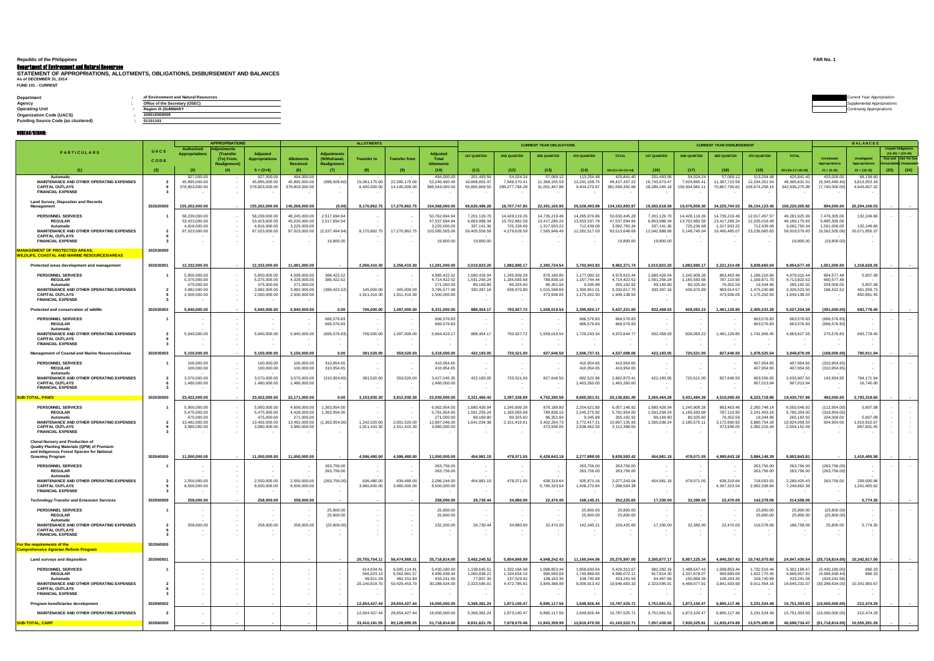**STATEMENT OF APPROPRIATIONS, ALLOTMENTS, OBLIGATIONS, DISBURSEMENT AND BALANCES As of DECEMBER 31, 2014**

**FUND 101 - CURRENT**

| Department                                | of Environment and Natural Resources |  |
|-------------------------------------------|--------------------------------------|--|
| Agency                                    | Office of the Secretary (OSEC)       |  |
| <b>Operating Unit</b>                     | Region IX (SUMMARY                   |  |
| <b>Organization Code (UACS)</b>           | 100010000009                         |  |
| <b>Funding Source Code (as clustered)</b> | 01101101                             |  |

|                                                                                                |                         |                                    | <b>APPROPRIATIONS</b>    |                               |                                      |                           | <b>ALLOTMENTS</b>             |                                |                                   |                                |                                | <b>CURRENT YEAR OBLIGATIONS</b> |                              |                                    |                                |                              | <b>CURRENT YEAR DISBURSEMENT</b> |                                 |                                 |                                    | <b>BALANCES</b>                             |                                                 |
|------------------------------------------------------------------------------------------------|-------------------------|------------------------------------|--------------------------|-------------------------------|--------------------------------------|---------------------------|-------------------------------|--------------------------------|-----------------------------------|--------------------------------|--------------------------------|---------------------------------|------------------------------|------------------------------------|--------------------------------|------------------------------|----------------------------------|---------------------------------|---------------------------------|------------------------------------|---------------------------------------------|-------------------------------------------------|
| <b>PARTICULARS</b>                                                                             | UACS                    | Authorized<br><b>Appropriation</b> | (Transfe                 | Adjusted                      |                                      | <b>Adjustment</b>         |                               |                                | Adjusted                          | <b>1ST QUARTER</b>             | <b>2ND QUARTER</b>             | <b>3RD QUARTER</b>              | <b>4TH QUARTER</b>           | <b>TOTAL</b>                       | <b>1ST QUARTER</b>             | <b>2ND QUARTER</b>           | <b>3RD QUARTER</b>               | <b>4TH QUARTER</b>              | <b>TOTAL</b>                    |                                    |                                             | <b>Unpaid Obligation</b><br>$(15-20) = (23+24)$ |
|                                                                                                | CODE                    |                                    | (To) From<br>Realignment | propriation:                  | <b>Allotments</b><br><b>Received</b> | (Withdrawal<br>Realignmen | <b>Transfer to</b>            | <b>Transfer from</b>           | <b>Total</b><br><b>Allotments</b> |                                |                                |                                 |                              |                                    |                                |                              |                                  |                                 |                                 | Unreleased<br><b>Appropriation</b> | <b>Unobligated</b><br><b>Appropriations</b> | Due and Not Yet Due<br>nandal<br>lek Demandabl  |
| - (1)                                                                                          | (2)                     | (3)                                |                          | $5 = (3+4)$                   | (6)                                  | (7)                       | (8)                           | (9)                            | (10)                              | (11)                           | (12)                           | (13)                            | (14)                         | $15=(11+12+13+14)$                 | (16)                           | (17)                         | (18)                             | (19)                            | $20=(16+17+18+19)$              | $21 = (5-10)$                      | $22 = (10-15)$                              | (23)<br>(24)                                    |
| <b>Automatic</b>                                                                               |                         | 927,000.00                         |                          | 927,000.0                     | 494,000.0                            |                           |                               |                                | 494,000.0                         | 201,493.56                     | 54,024.24                      | 57,069.1                        | 113,254.4                    | 425,841.4                          | 201,493.56                     | 54,024.24                    | 57,069.1                         | 113,254.48                      | 425.841.40                      | 433,000.0                          | 68,158.60                                   |                                                 |
| MAINTENANCE AND OTHER OPERATING EXPENSES<br><b>CAPITAL OUTLAYS</b><br><b>FINANCIAL EXPENSE</b> |                         | 45,895,000.00<br>378,803,000.00    |                          | 45,895,000.0<br>378,803,000.0 | 45,895,000.0<br>378,803,000.00       | (988, 509.60)             | 15,061,175.00<br>6,400,000.00 | 22,395,175.00<br>14,140,000.00 | 52,240,490.4<br>386,543,000.00    | 16,868,802.47<br>55,865,869.55 | 7,948,370.41<br>285,277,784.28 | 11,369,155.59<br>31,051,467.88  | 12,241,108.7<br>9,404,270.97 | 48, 427, 437. 22<br>381,599,392.68 | 16,743,673.47<br>28,289,245.19 | 7,929,895.4<br>136,904,981.1 | 11,387,710.59<br>70,867,790.62   | 12,334,351.54<br>106,874,258.16 | 48,395,631.01<br>342,936,275.08 | (6,345,490.4)<br>(7,740,000.00)    | 3,813,053.18<br>4,943,607.32                |                                                 |
| Land Survey, Dispostion and Records<br>Management                                              | 302020000               | 155.262.000.00                     |                          | 155.262.000.00                | 145.268.000.00                       | (0.00)                    | 8.170.862.75                  | 17.270.862.75                  | 154.368.000.00                    | 66.626.486.28                  | 18.707.747.85                  | 22.301.165.95                   | 26.528.493.89                | 134.163.893.97                     | 19.263.618.59                  | 19.576.859.30                | 34.225.704.53                    | 36.154.123.40                   | 109.220.305.82                  | 894.000.00                         | 20.204.106.03                               |                                                 |
| <b>PERSONNEL SERVICES</b>                                                                      |                         | 58,239,000.00                      |                          | 58,239,000.0                  | 48,245,000.00                        | 2,517,694.94              |                               |                                | 50,762,694.94                     | 7,201,129.70                   | 14,428,119.26                  | 14,735,219.46                   | 14,265,976.86                | 50,630,445.28                      | 7,201,129.70                   | 14,428,119.2                 | 14,735,219.46                    | 12,917,457.57                   | 49,281,925.99                   | 7,476,305.06                       | 132,249.66                                  |                                                 |
| <b>REGULAR</b><br>Automatic                                                                    |                         | 53,423,000.00<br>4,816,000.00      |                          | 53,423,000.00<br>4,816,000.00 | 45,020,000.00<br>3,225,000.00        | 2,517,694.94              |                               |                                | 47,537,694.94<br>3,225,000.00     | 6,863,988.34<br>337,141.36     | 13,702,882.58<br>725,236.68    | 13,417,286.24<br>1,317,933.22   | 13,553,537.78<br>712,439.08  | 47,537,694.94<br>3,092,750.34      | 6,863,988.34<br>337,141.36     | 13,702,882.58<br>725,236.68  | 13,417,286.24<br>1,317,933.22    | 12,205,018.49<br>712,439.08     | 46, 189, 175.65<br>3,092,750.34 | 5,885,305.06<br>1,591,000.00       | 132,249.66                                  |                                                 |
| MAINTENANCE AND OTHER OPERATING EXPENSES<br><b>CAPITAL OUTLAYS</b>                             |                         | 97,023,000.00                      |                          | 97,023,000.0                  | 97,023,000.00                        | (2,537,494.94)            | 8,170,862.75                  | 17,270,862.7                   | 103,585,505.06                    | 59,405,556.58                  | 4,279,628.59                   | 7,565,946.49                    | 12,262,517.03                | 83,513,648.69                      | 12,042,688.89                  | 5,148,740.04                 | 19,490,485.07                    | 23,236,665.83                   | 59,918,579.83                   | (6, 562, 505.06)                   | 20,071,856.37                               |                                                 |
| <b>FINANCIAL EXPENSE</b>                                                                       |                         |                                    |                          |                               |                                      | 19,800.00                 |                               |                                | 19,800.00                         | 19,800.00                      |                                |                                 |                              | 19,800.00                          | 19,800.00                      |                              |                                  |                                 | 19,800.00                       | (19,800.00)                        |                                             |                                                 |
| <u> MANAGEMENT OF PROTECTED AREAS,</u><br><b>WILDLIFE, COASTAL AND MARINE RESOURCES/AREAS</b>  | 302030000               |                                    |                          |                               |                                      |                           |                               |                                |                                   |                                |                                |                                 |                              |                                    |                                |                              |                                  |                                 |                                 |                                    |                                             |                                                 |
| Protected areas development and management                                                     | 302030001               | 12,332,000.00                      |                          | 12,332,000.00                 | 11,081,000.00                        |                           | 2,056,410.30                  | 2,256,410.30                   | 11,281,000.00                     | 2,010,823.20                   | 1,882,880.17                   | 2,365,724.54                    | 3,702,943.83                 | 9,962,371.74                       | 2,010,823.20                   | 1,882,880.17                 | 2,221,314.08                     | 3,839,660.04                    | 9,954,677.49                    | 1,051,000.00                       | 1,318,628.26                                |                                                 |
| PERSONNEL SERVICES                                                                             |                         | 5,850,000.00                       |                          | 5,850,000.0                   | 4,599,000.00                         | 386,422.52                |                               |                                | 4,985,422.52                      | 1,680,426.04                   | 1,245,909.28                   | 876,189.80                      | 1,177,090.32                 | 4,979,615.44                       | 1,680,426.04                   | 1,245,909.28                 | 863,463.46                       | 1,189,216.66                    | 4,979,015.44                    | 864,577.48                         | 5,807.08                                    |                                                 |
| <b>REGULAR</b><br>Automatic                                                                    |                         | 5,375,000.00<br>475,000.00         |                          | 5,375,000.00<br>475,000.00    | 4,328,000.00<br>271,000.00           | 386,422.52                |                               |                                | 4,714,422.52<br>271,000.00        | 1,591,256.24<br>89,169.80      | 1,165,583.68<br>80,325.60      | 789,838.16<br>86,351.64         | 1,167,744.44<br>9,345.88     | 4,714,422.52<br>265,192.92         | 1,591,256.24<br>89,169.80      | 1,165,583.68<br>80,325.60    | 787,110.90<br>76,352.56          | 1,169,871.70<br>19,344.96       | 4,713,822.52<br>265,192.92      | 660,577.48<br>204,000.00           | 5,807.08                                    |                                                 |
| MAINTENANCE AND OTHER OPERATING EXPENSES<br><b>CAPITAL OUTLAYS</b>                             |                         | 3,982,000.00<br>2,500,000.00       |                          | 3,982,000.00<br>2,500,000.0   | 3,982,000.00<br>2,500,000.00         | (386, 422.52)             | 145,000.00<br>1,911,410.30    | 345,000.00<br>1,911,410.30     | 3,795,577.48<br>2,500,000.00      | 330,397.16                     | 636,970.89                     | 1,015,598.69<br>473,936.05      | 1,350,651.0<br>1,175,202.50  | 3,333,617.75<br>1,649,138.55       | 330,397.16                     | 636,970.89                   | 883,914.57<br>473,936.05         | 1,475,240.88<br>1,175,202.50    | 3,326,523.50<br>1,649,138.55    | 186,422.52                         | 461,959.73<br>850,861.45                    |                                                 |
| <b>FINANCIAL EXPENSE</b>                                                                       |                         |                                    |                          |                               |                                      |                           |                               |                                |                                   |                                |                                |                                 |                              |                                    |                                |                              |                                  |                                 |                                 |                                    |                                             |                                                 |
| Protected and conservation of wildlife                                                         | 302030002               | 5.940.000.00                       |                          | 5.940.000.0                   | 5.940.000.00                         | 0.00                      | 706.000.00                    | 1.097.000.00                   | 6.331.000.00                      | 888.454.17                     | 793,927.72                     | 1.559.019.54                    | 2.395.820.17                 | 5,637,221.60                       | 832,458.03                     | 828,083.22                   | 1.461.129.85                     | 2.405.533.28                    | 5.527.204.38                    | (391.000.00                        | 693.778.40                                  |                                                 |
| <b>PERSONNEL SERVICES</b><br><b>REGULAR</b>                                                    |                         |                                    |                          |                               |                                      | 666,576.83<br>666,576.83  |                               |                                | 666,576.83<br>666,576.83          |                                |                                |                                 | 666,576.8<br>666,576.83      | 666,576.83<br>666,576.83           |                                |                              |                                  | 663,576.83<br>663,576.83        | 663,576.83<br>663,576.83        | (666, 576.83)<br>(666,576.83       |                                             |                                                 |
| Automatic<br>MAINTENANCE AND OTHER OPERATING EXPENSES                                          |                         | 5,940,000.00                       |                          | 5,940,000.00                  | 5,940,000.00                         | (666, 576.83)             | 706,000.00                    | 1,097,000.00                   | 5,664,423.17                      | 888,454.17                     | 793,927.72                     | 1,559,019.54                    | 1,729,243.34                 | 4,970,644.77                       | 832,458.03                     | 828,083.22                   | 1,461,129.85                     | 1,741,956.45                    | 4,863,627.55                    | 275,576.83                         | 693,778.40                                  |                                                 |
| <b>CAPITAL OUTLAYS</b><br><b>FINANCIAL EXPENSE</b>                                             |                         |                                    |                          |                               |                                      |                           |                               |                                |                                   |                                |                                |                                 |                              |                                    |                                |                              |                                  |                                 |                                 |                                    |                                             |                                                 |
| Management of Coastal and Marine Resources/Areas                                               | 302030003               | 5,150,000.00                       |                          | 5,150,000.00                  | 5.150.000.00                         | 0.00                      | 391,520.00                    | 559,520.00                     | 5,318,000.00                      | 422,183.05                     | 720,521.00                     | 827.646.50                      | 2,566,737.51                 | 4.537.088.06                       | 422,183.05                     | 720,521.00                   | 827.646.50                       | 1.978.525.54                    | 3,948,876.09                    | (168,000.00)                       | 780,911.94                                  |                                                 |
| PERSONNEL SERVICES<br><b>REGULAR</b>                                                           |                         | 100,000.00<br>100,000.00           |                          | 100,000.0<br>100,000.0        | 100,000.00<br>100,000.00             | 310,954.6<br>310,954.65   |                               |                                | 410,954.6<br>410,954.6            |                                |                                |                                 | 410,954.6<br>410,954.65      | 410,954.65<br>410,954.65           |                                |                              |                                  | 407,954.65<br>407,954.65        | 407,954.65<br>407,954.65        | (310, 954.65)<br>(310,954.65       |                                             |                                                 |
| Automatic<br>MAINTENANCE AND OTHER OPERATING EXPENSES                                          |                         | 3,570,000.00                       |                          | 3,570,000.0                   | 3,570,000.00                         | (310, 954.65)             | 391,520.00                    | 559,520.00                     | 3,427,045.35                      | 422,183.05                     | 720,521.00                     | 827,646.5                       | 692,522.8                    | 2,662,873.4                        | 422,183.05                     | 720,521.00                   | 827,646.50                       | 663,556.95                      | 2,633,907.50                    | 142,954.65                         | 764,171.94                                  |                                                 |
| <b>CAPITAL OUTLAYS</b><br><b>FINANCIAL EXPENSE</b>                                             |                         | 1,480,000.00                       |                          | 1,480,000.0                   | 1,480,000.00                         |                           |                               |                                | 1,480,000.00                      |                                |                                |                                 | 1,463,260.00                 | 1,463,260.00                       |                                |                              |                                  | 907,013.94                      | 907,013.94                      |                                    | 16,740.00                                   |                                                 |
| <u>UB-TOTAL, PAWS</u>                                                                          | 302030000               | 23,422,000.00                      |                          | 23,422,000.00                 | 22,171,000.00                        | 0.00                      | 3,153,930.30                  | 3,912,930.30                   | 22,930,000.00                     | 3,321,460.42                   | 3,397,328.89                   | 4,752,390.58                    | 8,665,501.51                 | 20,136,681.40                      | 3,265,464.28                   | 3,431,484.39                 | 4,510,090.43                     | 8,223,718.86                    | 19,430,757.96                   | 492,000.00                         | 2,793,318.60                                |                                                 |
| <b>PERSONNEL SERVICES</b>                                                                      |                         | 5,950,000.00                       |                          | 5,950,000.0                   | 4,699,000.00                         | 1,363,954.00              |                               |                                | 6,062,954.00                      | 1,680,426.04                   | 1,245,909.28                   | 876,189.8                       | 2,254,621.8                  | 6,057,146.92                       | 1,680,426.04                   | 1,245,909.28                 | 863,463.46                       | 2,260,748.14                    | 6,050,546.92                    | (112, 954.00)                      | 5,807.08                                    |                                                 |
| <b>REGULAR</b><br>Automatic                                                                    |                         | 5,475,000.00<br>475,000.00         |                          | 5,475,000.00<br>475,000.0     | 4,428,000.00<br>271,000.00           | 1,363,954.00              |                               |                                | 5,791,954.00<br>271,000.00        | 1,591,256.24<br>89,169.80      | 1,165,583.68<br>80,325.60      | 789,838.16<br>86,351.64         | 2,245,275.92<br>9.345.88     | 5,791,954.00<br>265,192.92         | 1,591,256.24<br>89.169.80      | 1,165,583.68<br>80,325.60    | 787,110.90<br>76,352.56          | 2,241,403.18<br>19.344.96       | 5,785,354.00<br>265,192.92      | (316,954.00<br>204,000.00          | 5,807.08                                    | $\sim$                                          |
| MAINTENANCE AND OTHER OPERATING EXPENSES<br><b>CAPITAL OUTLAYS</b>                             |                         | 13,492,000.00<br>3,980,000.00      |                          | 13,492,000.00<br>3,980,000.0  | 13,492,000.00<br>3,980,000.00        | (1,363,954.00)            | 1,242,520.00<br>1,911,410.30  | 2,001,520.00<br>1,911,410.30   | 12,887,046.00<br>3,980,000.00     | 1,641,034.38                   | 2,151,419.61                   | 3,402,264.73<br>473,936.05      | 3,772,417.2<br>2,638,462.50  | 10,967,135.93<br>3,112,398.55      | 1,585,038.24                   | 2,185,575.1                  | 3,172,690.92<br>473,936.05       | 3,880,754.28<br>2,082,216.44    | 10,824,058.55<br>2,556,152.49   | 604,954.00                         | 1,919,910.07<br>867,601.45                  | $\sim$<br>$\sim$                                |
| <b>FINANCIAL EXPENSE</b>                                                                       |                         |                                    |                          |                               |                                      |                           |                               |                                |                                   |                                |                                |                                 |                              |                                    |                                |                              |                                  |                                 |                                 |                                    |                                             |                                                 |
| <b>Clonal Nursery and Production of</b>                                                        |                         |                                    |                          |                               |                                      |                           |                               |                                |                                   |                                |                                |                                 |                              |                                    |                                |                              |                                  |                                 |                                 |                                    |                                             |                                                 |
| Quality Planting Materials (QPM) of Premium<br>and Indigenous Forest Species for National      |                         |                                    |                          |                               |                                      |                           |                               |                                |                                   |                                |                                |                                 |                              |                                    |                                |                              |                                  |                                 |                                 |                                    |                                             |                                                 |
| <b>Greening Program</b>                                                                        | 302040000               | 11,050,000.00                      |                          | 11,050,000.00                 | 11.050.000.00                        |                           | 4,596,480.00                  | 4,596,480.00                   | 11,050,000.00                     | 454,981.19                     | 478,071.05                     | 6,428,643.18                    | 2,277,898.00                 | 9,639,593.42                       | 454,981.19                     | 478,071.05                   | 4,985,643.18                     | 3,884,148.39                    | 9,802,843.81                    |                                    | 1,410,406.58                                |                                                 |
| <b>PERSONNEL SERVICES</b><br><b>REGULAR</b>                                                    |                         |                                    |                          |                               |                                      | 263,756.00<br>263,756.00  |                               |                                | 263,756.00<br>263,756.00          |                                |                                |                                 | 263,756.00<br>263,756.00     | 263,756.00<br>263,756.00           |                                |                              |                                  | 263,756.00<br>263,756.00        | 263,756.00<br>263,756.00        | (263,756.00<br>(263,756.00         |                                             |                                                 |
| Automatic<br>MAINTENANCE AND OTHER OPERATING EXPENSES                                          |                         | 2.550.000.00                       |                          | 2,550,000.00                  | 2,550,000.00                         | (263,756.00)              | 636,480.00                    | 636,480.00                     | 2,286,244.00                      | 454,981.19                     | 478.071.05                     | 638,319.64                      | 505,871.16                   | 2,077,243.04                       | 454,981.19                     | 478,071.05                   | 638,319.64                       | 718,053.55                      | 2,289,425.43                    | 263,756.00                         | 209,000.96                                  |                                                 |
| <b>CAPITAL OUTLAYS</b><br><b>FINANCIAL EXPENSE</b>                                             |                         | 8,500,000.00                       |                          | 8,500,000.00                  | 8,500,000.00                         |                           | 3,960,000.00                  | 3,960,000.00                   | 8,500,000.00                      |                                |                                | 5,790,323.54                    | 1,508,270.84                 | 7,298,594.38                       |                                |                              | 4,347,323.54                     | 2,902,338.84                    | 7,249,662.38                    |                                    | 1,201,405.62                                |                                                 |
| <b>Technology Transfer and Extension Services</b>                                              | 302050000               | 258,000.00                         |                          | 258,000.00                    | 258,000.00                           |                           |                               |                                | 258,000.00                        | 26,730.44                      | 34,880.00                      | 22,470.00                       | 168,145.21                   | 252,225.65                         | 17,330.00                      | 32,380.00                    | 22,470.00                        | 142,378.06                      | 214,558.06                      |                                    | 5,774.35                                    |                                                 |
| PERSONNEL SERVICES<br><b>REGULAR</b>                                                           |                         |                                    |                          |                               |                                      | 25,800.00<br>25,800.00    |                               |                                | 25,800.00<br>25,800.00            |                                |                                |                                 | 25,800.00<br>25,800.00       | 25,800.00<br>25,800.00             |                                |                              |                                  | 25,800.00<br>25,800.00          | 25,800.00<br>25,800.00          | (25,800.00)<br>(25,800.00)         | $\overline{\phantom{a}}$<br>$\sim$          |                                                 |
| Automatic<br>MAINTENANCE AND OTHER OPERATING EXPENSES                                          | $\overline{\mathbf{2}}$ | 258,000.00                         |                          | 258,000.00                    | 258,000.00                           | (25,800.00)               |                               |                                | 232,200.00                        | 26,730.44                      | 34,880.00                      | 22,470.00                       | 142,345.21                   | 226,425.65                         | 17,330.00                      | 32,380.00                    | 22,470.00                        | 116,578.06                      | 188,758.06                      | 25,800.00                          | 5,774.35                                    |                                                 |
| <b>CAPITAL OUTLAYS</b><br><b>FINANCIAL EXPENSE</b>                                             | $\mathbf{3}$            |                                    |                          |                               |                                      |                           |                               |                                |                                   |                                |                                |                                 |                              |                                    |                                |                              |                                  |                                 |                                 |                                    |                                             |                                                 |
| For the requirements of the                                                                    | 302060000               |                                    |                          |                               |                                      |                           |                               |                                |                                   |                                |                                |                                 |                              |                                    |                                |                              |                                  |                                 |                                 |                                    |                                             |                                                 |
| <b>Comprehensive Agrarian Reform Program</b>                                                   |                         |                                    |                          |                               |                                      |                           |                               |                                |                                   |                                |                                |                                 |                              |                                    |                                |                              |                                  |                                 |                                 |                                    |                                             |                                                 |
| Land surveys and disposition                                                                   | 302060001               |                                    |                          |                               |                                      |                           | 20,755,754.11                 | 56,474,568.11                  | 35,718,814.00                     | 3,462,240.52                   | 5,804,969.99                   | 4,948,242.43                    | 11,160,544.06                | 25,375,997.00                      | 3,305,877.17                   | 5,957,225.34                 | 4,940,357.43                     | 10,743,970.60                   | 24,947,430.54                   | (35,718,814.00)                    | 10,342,817.00                               |                                                 |
| PERSONNEL SERVICES<br><b>REGULAR</b>                                                           |                         |                                    |                          |                               |                                      |                           | 614,934.41<br>566,023.13      | 6,045,114.4<br>5,562,961.57    | 5,430,180.00<br>4,996,938.44      | 1,138,645.51<br>1,060,838.21   | 1,332,184.08<br>1,194,654.16   | 1,098,853.44<br>990,690.09      | 1,859,630.64<br>1,749,889.65 | 5,429,313.67<br>4,996,072.11       | 982,282.16<br>917,814.30       | 1,488,547.43<br>1,337,678.07 | 1,098,853.44<br>990,690.09       | 1,732,516.44<br>1,622,775.45    | 5,302,199.47<br>4,868,957.91    | (5,430,180.00)<br>(4,996,938.44)   | 866.33<br>866.33                            | $\sim$                                          |
| Automatic<br>MAINTENANCE AND OTHER OPERATING EXPENSES                                          |                         |                                    |                          |                               |                                      | $\sim$                    | 48,911.28<br>20,140,819.70    | 482,152.84<br>50,429,453.70    | 433,241.56<br>30,288,634.00       | 77,807.30<br>2,323,595.01      | 137,529.92<br>4,472,785.91     | 108,163.35<br>3,849,388.99      | 109,740.99<br>9,300,913.42   | 433,241.56<br>19,946,683.33        | 64,467.86<br>2,323,595.01      | 150,869.36<br>4,468,677.91   | 108,163.35<br>3,841,503.99       | 109,740.99<br>9,011,454.16      | 433,241.56<br>19,645,231.07     | (433,241.56<br>(30, 288, 634.00)   | 10,341,950.67                               |                                                 |
| <b>CAPITAL OUTLAYS</b><br><b>FINANCIAL EXPENSE</b>                                             | $\mathbf{3}$            |                                    |                          |                               |                                      |                           |                               |                                |                                   |                                |                                |                                 |                              |                                    |                                |                              |                                  |                                 |                                 |                                    |                                             |                                                 |
| Program beneficiaries development                                                              | 302060002               |                                    |                          |                               |                                      |                           | 12,654,427.44                 | 28,654,427.44                  | 16,000,000.00                     | 5,369,381.24                   | 1,873,100.47                   | 6,895,117.56                    | 1,649,926.44                 | 15,787,525.71                      | 3,751,561.51                   | 1,873,100.47                 | 6,895,117.46                     | 3,231,524.49                    | 15,751,303.93                   | (16,000,000.00)                    | 212,474.29                                  |                                                 |
| MAINTENANCE AND OTHER OPERATING EXPENSES                                                       | $\overline{\mathbf{2}}$ |                                    |                          |                               |                                      |                           | 12,654,427.44                 | 28,654,427.44                  | 16,000,000.00                     | 5,369,381.24                   | 1,873,100.47                   | 6,895,117.56                    | 1,649,926.44                 | 15,787,525.7                       | 3,751,561.51                   | 1,873,100.47                 | 6,895,117.46                     | 3,231,524.49                    | 15,751,303.93                   | (16,000,000.00                     | 212,474.29                                  |                                                 |
|                                                                                                |                         |                                    |                          |                               |                                      |                           |                               |                                |                                   |                                |                                |                                 |                              |                                    |                                |                              |                                  |                                 |                                 |                                    |                                             |                                                 |
| <b>SUB-TOTAL, CARP</b>                                                                         | 302060000               |                                    |                          |                               |                                      |                           | 33,410,181.55                 | 85,128,995.55                  | 51,718,814.00                     | 8,831,621.76                   | 7,678,070.46                   | 11,843,359.99                   | 12,810,470.50                | 41,163,522.71                      | 7,057,438.68                   | 7,830,325.81                 | 11,835,474.89                    | 13,975,495.09                   |                                 | 40,698,734.47 (51,718,814.00)      | 10,555,291.29                               |                                                 |

| Supplemental Appropriations | Current Year Appropriation       |
|-----------------------------|----------------------------------|
|                             |                                  |
|                             | <b>Continuing Appropriations</b> |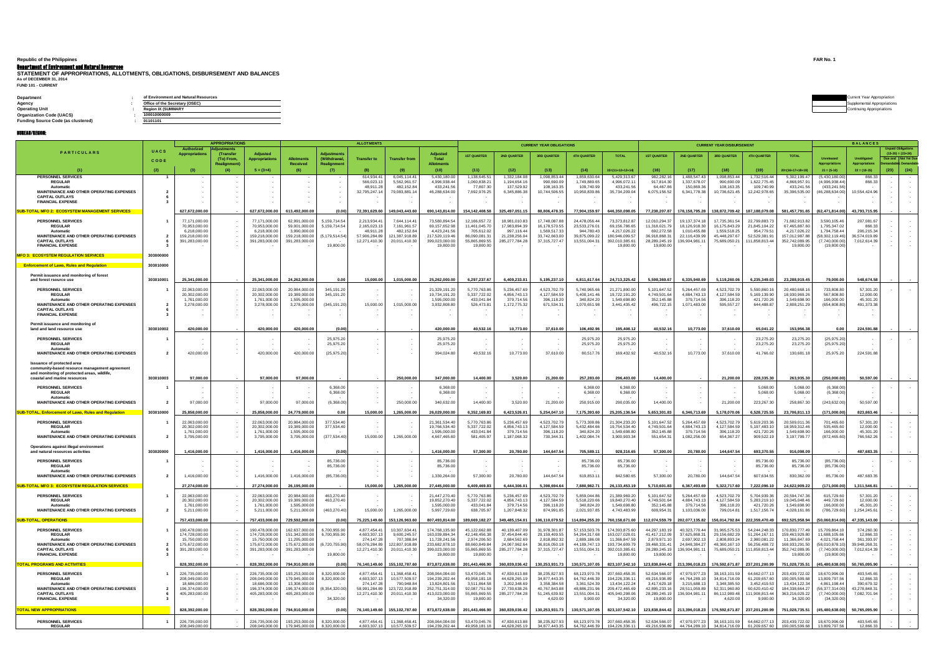**STATEMENT OF APPROPRIATIONS, ALLOTMENTS, OBLIGATIONS, DISBURSEMENT AND BALANCES As of DECEMBER 31, 2014**

**FUND 101 - CURRENT**

| Department                                | of Environment and Natural Resources |  | Current Year Appropriation       |
|-------------------------------------------|--------------------------------------|--|----------------------------------|
| Agency                                    | Office of the Secretary (OSEC)       |  | Supplemental Appropriations      |
| <b>Operating Unit</b>                     | <b>Region IX (SUMMARY</b>            |  | <b>Continuing Appropriations</b> |
| <b>Organization Code (UACS)</b>           | 100010000009                         |  |                                  |
| <b>Funding Source Code (as clustered)</b> | 01101101                             |  |                                  |
|                                           |                                      |  |                                  |

|                                                                                                                                                                    |                |                                                                                       | <b>APPROPRIATIONS</b>                 |                                                                                       |                                                                                       |                                                              | <b>ALLOTMENTS</b>                                                            |                                                                                 |                                                                                                    |                                                                                               |                                                                                   | <b>CURRENT YEAR OBLIGATIONS</b>                                                              |                                                                                              |                                                                                                    |                                                                                               |                                                                                  | <b>CURRENT YEAR DISBURSEMENT</b>                                                             |                                                                                               |                                                                                                    |                                                                                                       | <b>BALANCES</b>                                                        |                                                                                              |
|--------------------------------------------------------------------------------------------------------------------------------------------------------------------|----------------|---------------------------------------------------------------------------------------|---------------------------------------|---------------------------------------------------------------------------------------|---------------------------------------------------------------------------------------|--------------------------------------------------------------|------------------------------------------------------------------------------|---------------------------------------------------------------------------------|----------------------------------------------------------------------------------------------------|-----------------------------------------------------------------------------------------------|-----------------------------------------------------------------------------------|----------------------------------------------------------------------------------------------|----------------------------------------------------------------------------------------------|----------------------------------------------------------------------------------------------------|-----------------------------------------------------------------------------------------------|----------------------------------------------------------------------------------|----------------------------------------------------------------------------------------------|-----------------------------------------------------------------------------------------------|----------------------------------------------------------------------------------------------------|-------------------------------------------------------------------------------------------------------|------------------------------------------------------------------------|----------------------------------------------------------------------------------------------|
| <b>PARTICULARS</b>                                                                                                                                                 | UACS<br>CODE   | <b>Authorized</b><br>Appropriation                                                    | (Transfer<br>(To) From.<br>Realignmen | Adiustec<br>ppropriatio                                                               | <b>Allotment:</b><br><b>Received</b>                                                  | <b>diustmen</b><br>(Withdrawal<br>Realignmen                 | <b>Transfer to</b>                                                           | <b>Transfer fron</b>                                                            | Adiuste<br><b>Total</b><br><b>Allotments</b>                                                       | <b>1ST QUARTER</b>                                                                            | <b>2ND QUARTER</b>                                                                | <b>3RD QUARTER</b>                                                                           | <b>4TH QUARTEI</b>                                                                           | <b>TOTAL</b>                                                                                       | <b>1ST QUARTER</b>                                                                            | <b>2ND QUARTER</b>                                                               | <b>3RD QUARTER</b>                                                                           | <b>4TH QUARTER</b>                                                                            | <b>TOTAL</b>                                                                                       | Unreleased<br>Appropriation                                                                           | <b>Unobligated</b><br>Appropriations                                   | <b>Unpaid Obligations</b><br>$(15-20) = (23+24)$<br>Due and Not Yet Du<br>nandablek Demandal |
|                                                                                                                                                                    | (2)            | (3)                                                                                   | (4)                                   | $5 = (3+4)$                                                                           | (6)                                                                                   | (7)                                                          | (8)                                                                          | (9)                                                                             | (10)                                                                                               | (11)                                                                                          | (12)                                                                              | (13)                                                                                         | (14)                                                                                         | $15=(11+12+13+14)$                                                                                 | (16)                                                                                          | (17)                                                                             | (18)                                                                                         | (19)                                                                                          | $20= (16+17+18+19$                                                                                 | $21 = (5-10)$                                                                                         | $22 = (10-15)$                                                         | (23)<br>(24)                                                                                 |
| <b>PERSONNEL SERVICES</b><br><b>REGULAR</b><br>Automatic<br><b>MAINTENANCE AND OTHER OPERATING EXPENSES</b><br><b>CAPITAL OUTLAYS</b><br><b>FINANCIAL EXPENSE</b>  |                |                                                                                       |                                       |                                                                                       |                                                                                       |                                                              | 614,934.4<br>566,023.13<br>48,911.28<br>32,795,247.14                        | 6,045,114.41<br>5,562,961.57<br>482,152.84<br>79,083,881.14                     | 5,430,180.00<br>4,996,938.44<br>433,241.56<br>46,288,634.00                                        | 1,138,645.5<br>1,060,838.2<br>77,807.3<br>7,692,976.25                                        | 1,332,184.08<br>1,194,654.16<br>137,529.92<br>6,345,886.38                        | 1,098,853.44<br>990,690.09<br>108,163.35<br>10,744,506.55                                    | 1,859,630.64<br>1,749,889.65<br>109,740.99<br>10,950,839.86                                  | 5,429,313.6<br>4,996,072.1<br>433,241.5<br>35,734,209.04                                           | 982.282.1<br>917,814.30<br>64,467.86<br>6,075,156.52                                          | 488,547.43<br>1,337,678.07<br>150,869.3<br>6,341,778.38                          | 1,098,853.44<br>990,690.09<br>108,163.35<br>10,736,621.45                                    | 1,732,516.44<br>1,622,775.45<br>109,740.99<br>12,242,978.65                                   | 5,302,199.47<br>4,868,957.91<br>433,241.56<br>35,396,535.00                                        | (5,430,180.0)<br>(4.996.938.4<br>(433,241.56<br>(46, 288, 634.00)                                     | 866.33<br>866.33<br>10,554,424.96                                      | $\sim$                                                                                       |
| <u>SUB-TOTAL MFO 2: ECOSYSTEM MANAGEMENT SERVICES</u>                                                                                                              |                | 627,672,000.00                                                                        |                                       | 627,672,000.00                                                                        | 613,492,000.00                                                                        | (0.00)                                                       | 72,391,629.60                                                                | 149,043,443.60                                                                  | 690,143,814.00                                                                                     | 154,142,408.58                                                                                | 325,497,051.15                                                                    | 88,806,478.35                                                                                | 77,904,159.97                                                                                | 646,350,098.05                                                                                     | 77,238,207.87                                                                                 | 178, 158, 795. 28                                                                | 138,872,709.42                                                                               | 187, 188, 079.08                                                                              | 581,457,791.65                                                                                     | (62, 471, 814.00)                                                                                     | 43,793,715.9                                                           |                                                                                              |
| <b>PERSONNEL SERVICES</b><br><b>REGULAR</b><br><b>Automatic</b><br>MAINTENANCE AND OTHER OPERATING EXPENSES<br><b>CAPITAL OUTLAYS</b><br><b>FINANCIAL EXPENSE</b>  |                | 77,171,000.00<br>70,953,000.00<br>6,218,000.00<br>159,218,000.00<br>391,283,000.00    |                                       | 77,171,000.0<br>70,953,000.0<br>6,218,000.00<br>159,218,000.0<br>391,283,000.00       | 62,991,000.00<br>59,001,000.00<br>3,990,000.0<br>159,218,000.0<br>391,283,000.0       | 5,159,714.5<br>5,159,714.54<br>(5, 179, 514.54)<br>19,800.00 | 2,213,934.4<br>2,165,023.13<br>48,911.28<br>57,906,284.89<br>12,271,410.30   | 7.644.114.4<br>7,161,961.57<br>482,152.84<br>121,387,918.89<br>20,011,410.30    | 73.580.894.5<br>69,157,652.98<br>4,423,241.56<br>217,520,119.46<br>399,023,000.00<br>19,800.00     | 12,166,657.72<br>11,461,045.70<br>705,612.02<br>86,090,081.31<br>55,865,869.55<br>19,800.00   | 18.981.010.83<br>17,983,894.39<br>997,116.44<br>21,238,256.04<br>285,277,784.28   | 17.748.087.8<br>16,178,570.55<br>1,569,517.33<br>33,742,663.00<br>37,315,727.47              | 24,478,056.44<br>23,533,276.01<br>944,780.43<br>39,875,099.22<br>13,551,004.31               | 73,373,812.87<br>69.156.786.65<br>4,217,026.22<br>180,946,099.57<br>392,010,385.6<br>19,800.00     | 12,010,294.37<br>11,318,021.79<br>692,272.58<br>36,918,868.31<br>28,289,245.19<br>19,800.00   | 19.137.374.1<br>18,126,918.30<br>1,010,455.88<br>22,116,439.99<br>136,904,981.1  | 17.735.361.54<br>16,175,843.29<br>1,559,518.25<br>45,448,297.67<br>75,689,050.21             | 22,799,883.73<br>21,845,104.22<br>954,779.51<br>52,529,381.91<br>111,858,813.44               | 71.682.913.82<br>67,465,887.60<br>4,217,026.22<br>157,012,987.88<br>352,742,089.95<br>19,800.00    | 3.590.105.4<br>1,795,347.02<br>1,794,758.44<br>(58, 302, 119.46)<br>(7,740,000.00)<br>(19,800.00)     | 207,081.67<br>866.33<br>206,215.34<br>36,574,019.89<br>7,012,614.39    | $\sim$<br>$\sim$<br>$\sim$<br>$\sim$                                                         |
| <b>MFO 3: ECOSYSTEM REGULATION SERVICES</b>                                                                                                                        | 303000000      |                                                                                       |                                       |                                                                                       |                                                                                       |                                                              |                                                                              |                                                                                 |                                                                                                    |                                                                                               |                                                                                   |                                                                                              |                                                                                              |                                                                                                    |                                                                                               |                                                                                  |                                                                                              |                                                                                               |                                                                                                    |                                                                                                       |                                                                        |                                                                                              |
| <u>Enforcement of Laws, Rules and Regulation</u>                                                                                                                   | 303010000      |                                                                                       |                                       |                                                                                       |                                                                                       |                                                              |                                                                              |                                                                                 |                                                                                                    |                                                                                               |                                                                                   |                                                                                              |                                                                                              |                                                                                                    |                                                                                               |                                                                                  |                                                                                              |                                                                                               |                                                                                                    |                                                                                                       |                                                                        |                                                                                              |
| Permit issuance and monitoring of forest<br>and forest rsource use                                                                                                 | 303010001      | 25,341,000.00                                                                         |                                       | 25,341,000.00                                                                         | 24,262,000.00                                                                         |                                                              | 15,000.00                                                                    | 1,015,000.00                                                                    | 25,262,000.00                                                                                      | 6,297,237.67                                                                                  | 6,409,233.01                                                                      | 5,195,237.10                                                                                 | 6,811,617.64                                                                                 | 24,713,325.42                                                                                      | 5,598,369.67                                                                                  | 6,335,940.69                                                                     | 5,119,260.06                                                                                 | 6,235,349.03                                                                                  | 23,288,919.45                                                                                      | 79,000.00                                                                                             | 548,674.58                                                             |                                                                                              |
| <b>PERSONNEL SERVICES</b><br><b>REGULAR</b><br>Automatic<br>MAINTENANCE AND OTHER OPERATING EXPENSES<br><b>CAPITAL OUTLAYS</b><br><b>FINANCIAL EXPENSE</b>         |                | 22,063,000.00<br>20,302,000.00<br>1,761,000.00<br>3,278,000.00                        |                                       | 22.063.000.0<br>20,302,000.00<br>1,761,000.00<br>3,278,000.00                         | 20,984,000.00<br>19,389,000.00<br>1,595,000.0<br>3,278,000.00                         | 345,191.20<br>345,191.20<br>(345, 191.20)                    | 15,000.00                                                                    | 1,015,000.00                                                                    | 21,329,191.20<br>19,734,191.20<br>1,595,000.00<br>3,932,808.80                                     | 5,770,763.8<br>5,337,722.02<br>433,041.8<br>526,473.8                                         | 5,236,457.69<br>4,856,743.13<br>379,714.56<br>1,172,775.32                        | 4,523,702.79<br>4, 127, 584. 59<br>396,118.20<br>671,534.31                                  | 5,740,965.66<br>5,400,141.46<br>340,824.20<br>1,070,651.98                                   | 21,271,890.00<br>19,722,191.20<br>1,549,698.8<br>3,441,435.42                                      | 5,101,647.52<br>4,749,501.64<br>352,145.88<br>496,722.15                                      | 5,264,457.69<br>4,884,743.13<br>379,714.56<br>1,071,483.00                       | 4,523,702.79<br>4,127,584.59<br>396,118.20<br>595,557.27                                     | 5.590.860.16<br>5,169,139.90<br>421,720.26<br>644,488.87                                      | 20,480,668.16<br>18,930,969.26<br>1,549,698.90<br>2,808,251.29                                     | 733,808.80<br>567,808.80<br>166,000.00<br>(654, 808.80)                                               | 57,301.20<br>12,000.00<br>45,301.20<br>491,373.38                      |                                                                                              |
| Permit issuance and monitoring of<br>land and land resource use                                                                                                    | 303010002      | 420,000.00                                                                            |                                       | 420,000.00                                                                            | 420,000.00                                                                            | (0.00)                                                       |                                                                              |                                                                                 | 420,000.00                                                                                         | 40,532.16                                                                                     | 10,773.00                                                                         | 37,610.00                                                                                    | 106,492.96                                                                                   | 195,408.12                                                                                         | 40,532.16                                                                                     | 10,773.00                                                                        | 37,610.00                                                                                    | 65,041.22                                                                                     | 153,956.38                                                                                         | 0.00                                                                                                  | 224,591.88                                                             |                                                                                              |
| <b>PERSONNEL SERVICES</b><br><b>REGULAR</b><br>Automatio<br>MAINTENANCE AND OTHER OPERATING EXPENSES                                                               |                | 420,000.00                                                                            |                                       | 420,000.00                                                                            | 420,000.00                                                                            | 25,975.20<br>25,975.20<br>(25, 975.20)                       |                                                                              |                                                                                 | 25,975.20<br>25,975.20<br>394,024.80                                                               | 40,532.16                                                                                     | 10,773.00                                                                         | 37,610.00                                                                                    | 25,975.20<br>25,975.20<br>80,517.76                                                          | 25,975.20<br>25,975.20<br>169,432.92                                                               | 40,532.16                                                                                     | 10,773.00                                                                        | 37,610.00                                                                                    | 23,275.20<br>23,275.20<br>41,766.02                                                           | 23,275.20<br>23,275.20<br>130,681.18                                                               | (25,975.20)<br>(25, 975.20)<br>25,975.20                                                              | 224,591.88                                                             |                                                                                              |
| <b>Issuance of protected area</b><br>community-based resource management agreement<br>and monitoring of protected areas, wildlife,<br>coastal and marine resources | 303010003      | 97,000.00                                                                             |                                       | 97,000.00                                                                             | 97,000.00                                                                             |                                                              |                                                                              | 250,000.00                                                                      | 347,000.00                                                                                         | 14,400.00                                                                                     | 3,520.00                                                                          | 21,200.00                                                                                    | 257,283.00                                                                                   | 296,403.00                                                                                         | 14,400.00                                                                                     |                                                                                  | 21,200.00                                                                                    | 228,335.30                                                                                    | 263,935.30                                                                                         | (250,000.00)                                                                                          | 50,597.00                                                              |                                                                                              |
| <b>PERSONNEL SERVICES</b><br><b>REGULAR</b>                                                                                                                        |                |                                                                                       |                                       |                                                                                       |                                                                                       | 6,368.0<br>6,368.0                                           |                                                                              |                                                                                 | 6,368.00<br>6,368.00                                                                               |                                                                                               |                                                                                   |                                                                                              | 6,368.00<br>6,368.00                                                                         | 6,368.0<br>6,368.0                                                                                 |                                                                                               |                                                                                  |                                                                                              | 5,068.00<br>5,068.00                                                                          | 5,068.00<br>5,068.00                                                                               | (6,368.00)<br>(6,368.00)                                                                              |                                                                        |                                                                                              |
| Automatic<br>MAINTENANCE AND OTHER OPERATING EXPENSES                                                                                                              | - 2            | 97,000.00                                                                             |                                       | 97,000.00                                                                             | 97,000.0                                                                              | (6,368.00)                                                   |                                                                              | 250,000.00                                                                      | 340,632.00                                                                                         | 14,400.00                                                                                     | 3,520.00                                                                          | 21,200.00                                                                                    | 250,915.00                                                                                   | 290,035.00                                                                                         | 14,400.00                                                                                     |                                                                                  | 21,200.00                                                                                    | 223,267.30                                                                                    | 258,867.30                                                                                         | (243, 632.00)                                                                                         | 50,597.00                                                              |                                                                                              |
| SUB-TOTAL, Enforcement of Laws, Rules and Regulation                                                                                                               | 303010000      | 25,858,000.00                                                                         |                                       | 25,858,000.00                                                                         | 24,779,000.00                                                                         | 0.00                                                         | 15,000.00                                                                    | 1,265,000.00                                                                    | 26,029,000.00                                                                                      | 6,352,169.83                                                                                  | 6,423,526.01                                                                      | 5,254,047.10                                                                                 | 7,175,393.60                                                                                 | 25,205,136.54                                                                                      | 5,653,301.83                                                                                  | 6,346,713.69                                                                     | 5,178,070.06                                                                                 | 6,528,725.55                                                                                  | 23,706,811.13                                                                                      | (171,000.00                                                                                           | 823,863.46                                                             |                                                                                              |
| <b>PERSONNEL SERVICES</b><br><b>REGULAR</b><br>Automatic<br>MAINTENANCE AND OTHER OPERATING EXPENSES                                                               |                | 22.063.000.0<br>20,302,000.00<br>1,761,000.00<br>3,795,000.00                         |                                       | 22,063,000.0<br>20,302,000.00<br>1,761,000.00<br>3,795,000.00                         | 20,984,000.0<br>19,389,000.00<br>1,595,000.0<br>3,795,000.00                          | 377,534.40<br>377,534.40<br>(377, 534.40)                    | 15,000.00                                                                    | 1,265,000.00                                                                    | 21,361,534.40<br>19,766,534.40<br>1,595,000.00<br>4,667,465.60                                     | 5,770,763.8<br>5,337,722.02<br>433,041.8<br>581,405.97                                        | 5,236,457.6<br>4,856,743.13<br>379,714.56<br>1,187,068.32                         | 4,523,702.79<br>4,127,584.59<br>396,118.20<br>730,344.31                                     | 5,773,308.86<br>5,432,484.66<br>340,824.20<br>1,402,084.74                                   | 21,304,233.20<br>19,754,534.40<br>1,549,698.8<br>3,900,903.34                                      | 5,101,647.52<br>4,749,501.64<br>352,145.88<br>551,654.31                                      | 5,264,457.6<br>4,884,743.1<br>379,714.56<br>1,082,256.00                         | 4,523,702.7<br>4,127,584.59<br>396,118.20<br>654,367.27                                      | 5,619,203.36<br>5,197,483.10<br>421,720.26<br>909,522.19                                      | 20,509,011.36<br>18,959,312.46<br>1,549,698.90<br>3,197,799.77                                     | 701,465.6<br>535,465.60<br>166,000.00<br>(872, 465.60)                                                | 57,301.20<br>12,000.00<br>45,301.20<br>766,562.26                      |                                                                                              |
| Operations against illegal environmen<br>and natural resources activities                                                                                          | 303020000      | 1,416,000.00                                                                          |                                       | 1,416,000.00                                                                          | 1,416,000.00                                                                          | (0.00                                                        |                                                                              |                                                                                 | 1,416,000.00                                                                                       | 57,300.00                                                                                     | 20,780.00                                                                         | 144,647.54                                                                                   | 705,589.1                                                                                    | 928,316.65                                                                                         | 57,300.00                                                                                     | 20,780.00                                                                        | 144,647.54                                                                                   | 693,370.55                                                                                    | 916,098.09                                                                                         |                                                                                                       | 487,683.35                                                             |                                                                                              |
| <b>PERSONNEL SERVICES</b><br><b>REGULAR</b><br>Automatio                                                                                                           |                |                                                                                       |                                       |                                                                                       |                                                                                       | 85.736.C<br>85,736.00                                        |                                                                              |                                                                                 | 85,736.00<br>85,736.00                                                                             |                                                                                               |                                                                                   |                                                                                              | 85,736.00<br>85,736.00                                                                       | 85.736.0<br>85,736.00                                                                              |                                                                                               |                                                                                  |                                                                                              | 85,736.0<br>85,736.00                                                                         | 85,736.00<br>85,736.00                                                                             | (85,736.00<br>(85,736.00)                                                                             |                                                                        |                                                                                              |
| MAINTENANCE AND OTHER OPERATING EXPENSES                                                                                                                           | - 2            | 1,416,000.00                                                                          |                                       | 1,416,000.00                                                                          | 1,416,000.0                                                                           | (85,736.00)                                                  |                                                                              |                                                                                 | 1,330,264.00                                                                                       | 57,300.00                                                                                     | 20,780.00                                                                         | 144,647.54                                                                                   | 619,853.1                                                                                    | 842,580.65                                                                                         | 57,300.00                                                                                     | 20,780.00                                                                        | 144,647.54                                                                                   | 607,634.55                                                                                    | 830,362.09                                                                                         | 85,736.00                                                                                             | 487,683.35                                                             |                                                                                              |
| SUB-TOTAL MFO 3: ECOSYSTEM REGULATION SERVICES<br><b>PERSONNEL SERVICES</b><br><b>REGULAR</b><br>Automatic                                                         |                | 27.274.000.00<br>22,063,000.00<br>20,302,000.00<br>1,761,000.00                       |                                       | 27,274,000.00<br>22,063,000.00<br>20,302,000.00<br>1,761,000.00                       | 26,195,000.00<br>20,984,000.00<br>19,389,000.00<br>1,595,000.00                       | 463,270.40<br>463,270.40                                     | 15.000.00                                                                    | 1,265,000.00                                                                    | 27,445,000.00<br>21,447,270.40<br>19,852,270.40<br>1,595,000.00                                    | 6,409,469.83<br>5,770,763.86<br>5,337,722.02<br>433,041.84                                    | 6.444.306.01<br>5,236,457.69<br>4,856,743.13<br>379,714.56                        | 5,398,694.64<br>4,523,702.79<br>4,127,584.59<br>396,118.20                                   | 7.880.982.71<br>5.859.044.86<br>5,518,220.66<br>340,824.20                                   | 26, 133, 453. 19<br>21,389,969.20<br>19,840,270.40<br>1,549,698.80                                 | 5,710,601.83<br>5.101.647.52<br>4,749,501.64<br>352,145.88                                    | 6.367.493.69<br>5,264,457.69<br>4,884,743.13<br>379,714.56                       | 5,322,717.60<br>4.523.702.79<br>4,127,584.59<br>396,118.20                                   | 7,222,096.10<br>5,704,939.36<br>5,283,219.10<br>421,720.26                                    | 24,622,909.22<br>20,594,747.36<br>19,045,048.46<br>1,549,698.90                                    | (171,000.00)<br>615,729.60<br>449,729.60<br>166,000.00                                                | 1.311.546.81<br>57,301.20<br>12,000.00<br>45,301.20                    | $\sim$<br>$\sim$                                                                             |
| MAINTENANCE AND OTHER OPERATING EXPENSES<br><u>SUB-TOTAL, OPERATIONS</u>                                                                                           | $\overline{2}$ | 5,211,000.00<br>757,433,000.00                                                        |                                       | 5,211,000.00<br>757,433,000.00                                                        | 5,211,000.00<br>729,592,000.00                                                        | (463, 270.40)<br>(0.00)                                      | 15,000.00<br>75,225,149.60                                                   | 1,265,000.00<br>153,126,963.60                                                  | 5,997,729.60<br>807,493,814.00                                                                     | 638,705.97<br>189,669,182.27                                                                  | 1,207,848.32<br>349,485,154.01                                                    | 874,991.85<br>106,110,079.52                                                                 | 2,021,937.85<br>114,894,255.20                                                               | 4,743,483.99<br>760,158,671.00                                                                     | 608,954.3                                                                                     | 1,103,036.00<br>112,074,559.79 202,077,135.82                                    | 799,014.81<br>156,014,792.84                                                                 | 1,517,156.74<br>222,359,470.49                                                                | 4,028,161.86<br>692,525,958.94                                                                     | (786, 729.60)<br>(50,060,814.00)                                                                      | 1,254,245.61<br>47,335,143.00                                          | $\sim$                                                                                       |
| <b>PERSONNEL SERVICES</b><br><b>REGULAR</b><br>Automatic<br><b>MAINTENANCE AND OTHER OPERATING EXPENSES</b><br><b>CAPITAL OUTLAYS</b><br><b>FINANCIAL EXPENSE</b>  |                | 190,478,000.00<br>174,728,000.00<br>15,750,000.00<br>175,672,000.00<br>391,283,000.00 |                                       | 190,478,000.00<br>174,728,000.00<br>15,750,000.00<br>175,672,000.00<br>391,283,000.00 | 162,637,000.00<br>151,342,000.00<br>11,295,000.00<br>175,672,000.00<br>391,283,000.00 | 6,700,955.90<br>6,700,955.90<br>(6,720,755.90)<br>19,800.00  | 4,877,454.41<br>4,603,307.13<br>274,147.28<br>58,076,284.89<br>12,271,410.30 | 10,307,634.41<br>9,600,245.57<br>707,388.84<br>122,807,918.89<br>20,011,410.30  | 174,768,135.90<br>163,039,894.34<br>11,728,241.56<br>233,682,878.10<br>399,023,000.00<br>19,800.00 | 45,122,662.88<br>42,148,456.38<br>2,974,206.50<br>88,660,849.84<br>55,865,869.55<br>19,800.00 | 40,139,407.09<br>37,454,844.40<br>2,684,562.6<br>24,067,962.64<br>285,277,784.28  | 31,978,301.87<br>29,159,409.55<br>2,818,892.32<br>36,816,050.18<br>37,315,727.47             | 57, 153, 503. 76<br>54,264,317.68<br>2,889,186.08<br>44,189,747.13<br>13,551,004.31          | 174,393,875.6<br>163,027,028.01<br>11,366,847.59<br>193,734,609.79<br>392,010,385.61<br>19,800.00  | 44,297,183.19<br>41,417,212.09<br>2,879,971.10<br>39,468,331.41<br>28,289,245.19<br>19,800.00 | 40,323,770.44<br>37,625,868.31<br>2,697,902.13<br>24,848,384.27<br>136,904,981.1 | 31,965,575.53<br>29,156,682.29<br>2,808,893.24<br>48,360,167.10<br>75,689,050.21             | 54,244,248.33<br>51,264,167.11<br>2,980,081.22<br>56,256,408.72<br>111,858,813.44             | 170,830,777.49<br>159,463,929.80<br>11,366,847.69<br>168,933,291.50<br>352,742,089.95<br>19,800.00 | 15,709,864.1<br>11,688,105.66<br>4,021,758.44<br>(58,010,878.10)<br>(7,740,000.00)<br>(19,800.00)     | 374,260.30<br>12,866.33<br>361,393.97<br>39,948,268.31<br>7,012,614.39 | $\sim$<br>$\sim$<br>$\sim$                                                                   |
| <b>TOTAL PROGRAMS AND ACTIVITIES</b>                                                                                                                               |                | 828,392,000.00                                                                        |                                       | 828,392,000.00                                                                        | 794,910,000.00                                                                        | (0.00)                                                       | 76,140,149.60                                                                | 155,102,787.60                                                                  | 873,872,638.00                                                                                     | 201,443,466.90                                                                                | 360,839,036.42                                                                    | 130,253,931.73                                                                               | 130,571,107.05                                                                               | 823,107,542.10                                                                                     |                                                                                               | 123,838,844.42 213,396,018.23                                                    | 176,592,671.87                                                                               | 237,201,200.99                                                                                | 751,028,735.51                                                                                     | (45, 480, 638.00)                                                                                     | 50,765,095.90                                                          |                                                                                              |
| <b>PERSONNEL SERVICES</b><br><b>REGULAR</b><br>Automatic<br>MAINTENANCE AND OTHER OPERATING EXPENSES<br><b>CAPITAL OUTLAYS</b><br><b>FINANCIAL EXPENSE</b>         |                | 226,735,000.00<br>208,049,000.00<br>18.686.000.00<br>196,374,000.00<br>405,283,000.00 |                                       | 226,735,000.0<br>208,049,000.00<br>18,686,000.0<br>196,374,000.00<br>405,283,000.00   | 193,253,000.0<br>179,945,000.00<br>13,308,000.0<br>196,374,000.00<br>405,283,000.00   | 8,320,000.00<br>8,320,000.00<br>(8,354,320.00)<br>34,320.00  | 4,877,454.4<br>4,603,307.13<br>274,147.28<br>58,991,284.89<br>12,271,410.30  | 11,368,458.41<br>10,577,509.57<br>790,948.84<br>123,722,918.89<br>20,011,410.30 | 208,064,004.00<br>194,239,202.44<br>13,824,801.56<br>252,751,314.00<br>413,023,000.00<br>34,320.00 | 53,470,045.76<br>49,958,181.18<br>3,511,864.58<br>92,087,751.59<br>55,865,869.55<br>19,800.00 | 47,830,613.88<br>44,628,265.19<br>3,202,348.69<br>27,730,638.26<br>285,277,784.28 | 38,235,827.93<br>34,877,443.35<br>3,358,384.58<br>40,767,843.88<br>51,245,639.92<br>4,620.00 | 68,123,970.78<br>64,762,446.39<br>3,361,524.39<br>48,886,231.96<br>13,551,004.31<br>9,900.00 | 207,660,458.35<br>194,226,336.11<br>13,434,122.24<br>209,472,465.69<br>405,940,298.06<br>34,320.00 | 52,634,566.07<br>49,216,936.89<br>3,417,629.18<br>42,895,233.16<br>28,289,245.19<br>19,800.00 | 47,979,977.23<br>44,764,289.10<br>3,215,688.1<br>28,511,059.89<br>136,904,981.11 | 38,163,101.59<br>34,814,716.09<br>3,348,385.50<br>52,311,960.80<br>86,112,989.48<br>4,620.00 | 64,662,077.13<br>61,209,657.60<br>3,452,419.53<br>60,620,410.42<br>111,908,813.44<br>9,900.00 | 203,439,722.02<br>190,005,599.68<br>13,434,122.34<br>184,338,664.27<br>363,216,029.22<br>34,320.00 | 18,670,996.00<br>13,809,797.56<br>4,861,198.44<br>(56, 377, 314.00)<br>(7,740,000.00)<br>(34, 320.00) | 403,545.65<br>12,866.33<br>390,679.32<br>43,278,848.31<br>7,082,701.94 | $\sim$<br>$\sim$<br>$\sim$<br>$\sim$<br>$\sim$                                               |
| <b>TOTAL NEW APPROPRIATIONS</b>                                                                                                                                    |                | 828,392,000.00                                                                        |                                       | 828,392,000.00                                                                        | 794,910,000.00                                                                        | (0.00)                                                       |                                                                              | 76,140,149.60 155,102,787.60                                                    | 873,872,638.00                                                                                     | 201,443,466.90                                                                                | 360,839,036.42                                                                    | 130,253,931.73                                                                               | 130,571,107.05                                                                               | 823,107,542.10                                                                                     |                                                                                               | 123,838,844.42 213,396,018.23 176,592,671.87 237,201,200.99                      |                                                                                              |                                                                                               | 751,028,735.51                                                                                     | (45, 480, 638.00)                                                                                     | 50,765,095.90                                                          | $\sim$                                                                                       |
| <b>PERSONNEL SERVICES</b><br><b>REGULAR</b>                                                                                                                        |                | 226,735,000.00<br>208,049,000.00                                                      |                                       | 226,735,000.00<br>208,049,000.00                                                      | 193,253,000.00<br>179,945,000.00                                                      | 8,320,000.00<br>8,320,000.00                                 | 4,877,454.41<br>4,603,307.13                                                 | 11,368,458.41<br>10,577,509.57                                                  | 208,064,004.00<br>194,239,202.44                                                                   | 53,470,045.76<br>49,958,181.18                                                                | 47,830,613.88<br>44,628,265.19                                                    | 38,235,827.93<br>34,877,443.35                                                               | 68,123,970.78                                                                                | 207,660,458.35<br>64,762,446.39 194,226,336.11                                                     | 52,634,566.07<br>49,216,936.89                                                                | 47,979,977.23                                                                    | 38, 163, 101.59<br>44,764,289.10 34,814,716.09 61,209,657.60                                 | 64,662,077.13                                                                                 | 203,439,722.02<br>190,005,599.68                                                                   | 18,670,996.00<br>13,809,797.56                                                                        | 403,545.65<br>12,866.33                                                |                                                                                              |

| Current Year Appropriation       |
|----------------------------------|
| Supplemental Appropriation       |
| <b>Continuing Appropriations</b> |
|                                  |